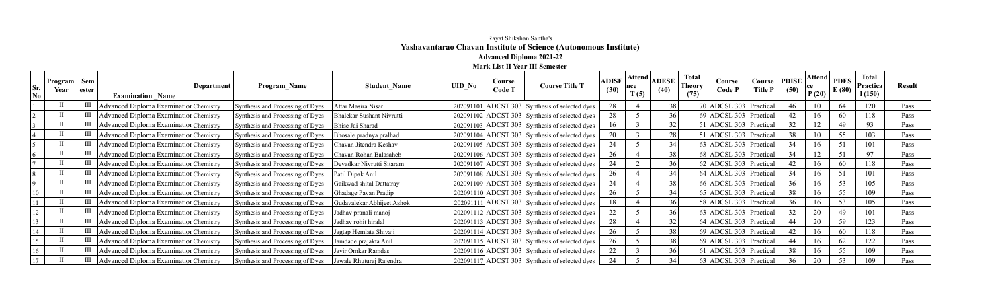## Rayat Shikshan Santha's **Yashavantarao Chavan Institute of Science (Autonomous Institute) Advanced Diploma 2021-22**

**Mark List II Year III Semester**

| Sr.<br>$\bf No$ | Program   Sem<br>Year | lester | Department<br><b>Examination Name</b>        | <b>Program</b> Name              | <b>Student Name</b>        | <b>UID</b> No | Course<br>Code T | <b>Course Title T</b>                          | <b>ADISE</b><br>(30) | Attend  <br>nce<br>T(5) | <b>ADESE</b><br>(40) | <b>Total</b><br><b>Theory</b><br>(75) | Course<br>Code P         | Course<br>Title P | <b>PDISE</b><br>(50) | P(20) | $\therefore$  Attend   PDES  <br>E(80) | <b>Total</b><br>Practica<br>1(150) | <b>Result</b> |
|-----------------|-----------------------|--------|----------------------------------------------|----------------------------------|----------------------------|---------------|------------------|------------------------------------------------|----------------------|-------------------------|----------------------|---------------------------------------|--------------------------|-------------------|----------------------|-------|----------------------------------------|------------------------------------|---------------|
|                 |                       |        | Advanced Diploma Examination Chemistry       | Synthesis and Processing of Dyes | Attar Masira Nisar         |               |                  | 202091101 ADCST 303 Synthesis of selected dyes | 28                   |                         |                      |                                       | 70 ADCSL 303   Practical |                   | 46                   |       | 64                                     | 120                                | Pass          |
|                 |                       |        | III   Advanced Diploma Examination Chemistry | Synthesis and Processing of Dyes | Bhalekar Sushant Nivrutti  |               |                  | 202091102 ADCST 303 Synthesis of selected dyes | 28                   |                         |                      |                                       | 69 ADCSL 303 Practical   |                   | 42                   | 16    | 60                                     | 118                                | Pass          |
|                 |                       |        | Advanced Diploma Examination Chemistry       | Synthesis and Processing of Dyes | Bhise Jai Sharad           |               |                  | 202091103 ADCST 303 Synthesis of selected dyes |                      |                         |                      |                                       | 51 ADCSL 303 Practical   |                   | 32                   | 12    | 49                                     | 93                                 | Pass          |
|                 |                       |        | Advanced Diploma Examination Chemistry       | Synthesis and Processing of Dyes | Bhosale pradnya pralhad    |               |                  | 202091104 ADCST 303 Synthesis of selected dyes | 20                   |                         | 28                   |                                       | 51 ADCSL 303 Practical   |                   | 38                   | 10    | 55                                     | 103                                | Pass          |
|                 |                       |        | Advanced Diploma Examination Chemistry       | Synthesis and Processing of Dyes | Chavan Jitendra Keshav     |               |                  | 202091105 ADCST 303 Synthesis of selected dyes | 24                   |                         | 34                   |                                       | 63 ADCSL 303 Practical   |                   | 34                   | 16    | 51                                     |                                    | Pass          |
|                 |                       |        | III   Advanced Diploma Examination Chemistry | Synthesis and Processing of Dyes | Chavan Rohan Balasaheb     |               |                  | 202091106 ADCST 303 Synthesis of selected dyes | 26                   |                         | 38 <sub>1</sub>      |                                       | 68 ADCSL 303 Practical   |                   | 34                   | 12    | 51                                     | 97                                 | Pass          |
|                 |                       |        | Advanced Diploma Examination Chemistry       | Synthesis and Processing of Dyes | Devadkar Nivrutti Sitaram  |               |                  | 202091107 ADCST 303 Synthesis of selected dyes | 24                   |                         |                      |                                       | 62 ADCSL 303 Practical   |                   | 42                   | 16    | 60                                     | 118                                | Pass          |
|                 |                       | Ш      | Advanced Diploma Examination Chemistry       | Synthesis and Processing of Dyes | Patil Dipak Anil           |               |                  | 202091108 ADCST 303 Synthesis of selected dyes |                      |                         |                      |                                       | 64 ADCSL 303 Practical   |                   | 34                   | 16    | 51                                     | 101                                | Pass          |
|                 |                       | Ш      | Advanced Diploma Examination Chemistry       | Synthesis and Processing of Dyes | Gaikwad shital Dattatray   |               |                  | 202091109 ADCST 303 Synthesis of selected dyes | 24                   |                         | 38                   |                                       | 66 ADCSL 303 Practical   |                   | 36                   | 16    | 53                                     | 105                                | Pass          |
|                 |                       |        | III   Advanced Diploma Examination Chemistry | Synthesis and Processing of Dyes | Ghadage Pavan Pradip       |               |                  | 202091110 ADCST 303 Synthesis of selected dyes | 26                   |                         |                      |                                       | 65 ADCSL 303 Practical   |                   | 38                   | 16    | 55                                     | 109                                | Pass          |
|                 |                       |        | Advanced Diploma Examination Chemistry       | Synthesis and Processing of Dyes | Gudavalekar Abhijeet Ashok |               |                  | 202091111 ADCST 303 Synthesis of selected dyes |                      |                         |                      |                                       | 58 ADCSL 303 Practical   |                   | 36                   | 16    | 53                                     | 105                                | Pass          |
| 12              |                       |        | Advanced Diploma Examination Chemistry       | Synthesis and Processing of Dyes | Jadhav pranali manoj       |               |                  | 202091112 ADCST 303 Synthesis of selected dyes | 22                   |                         |                      |                                       | 63 ADCSL 303 Practical   |                   | 32                   | 20    | 49                                     |                                    | Pass          |
|                 |                       | Ш      | Advanced Diploma Examination Chemistry       | Synthesis and Processing of Dyes | Jadhav rohit hiralal       |               |                  | 202091113 ADCST 303 Synthesis of selected dyes | 28                   |                         | 32                   |                                       | 64 ADCSL 303   Practical |                   | 44                   | 20    | 59                                     | 123                                | Pass          |
| 14              |                       |        | Advanced Diploma Examination Chemistry       | Synthesis and Processing of Dyes | Jagtap Hemlata Shivaji     |               |                  | 202091114 ADCST 303 Synthesis of selected dyes | 26                   |                         | 38                   |                                       | 69 ADCSL 303 Practical   |                   | 42                   | 16    | 60                                     | 118                                | Pass          |
| 15              |                       |        | Advanced Diploma Examination Chemistry       | Synthesis and Processing of Dyes | Jamdade prajakta Anil      |               |                  | 202091115 ADCST 303 Synthesis of selected dyes | 26                   |                         | 38                   |                                       | 69 ADCSL 303 Practical   |                   | 44                   | 16    | 62                                     | 122                                | Pass          |
| 16              |                       |        | Advanced Diploma Examination Chemistry       | Synthesis and Processing of Dyes | Javir Omkar Ramdas         |               |                  | 202091116 ADCST 303 Synthesis of selected dyes | 22                   |                         |                      |                                       | 61 ADCSL 303 Practical   |                   | 38                   | 16    | 55                                     | 109                                | Pass          |
| 17              |                       |        | III   Advanced Diploma Examination Chemistry | Synthesis and Processing of Dyes | Jawale Rhuturaj Rajendra   |               |                  | 202091117 ADCST 303 Synthesis of selected dyes | 24                   |                         |                      |                                       | 63 ADCSL 303 Practical   |                   | 36                   | 20    | 53                                     | 109                                | Pass          |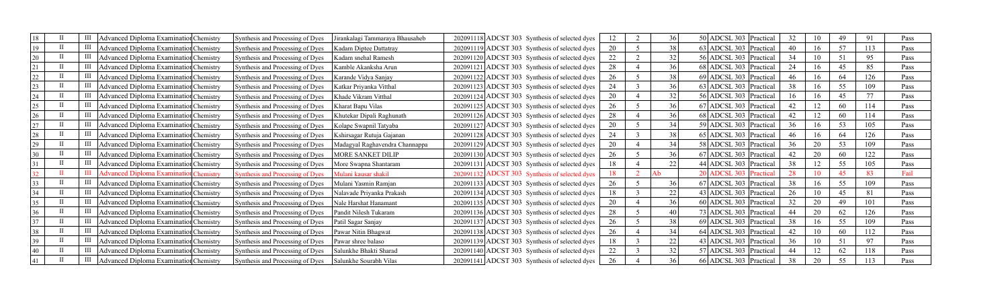| 18 | Advanced Diploma Examination Chemistry        | Synthesis and Processing of Dyes | irankalagi Tammaraya Bhausaheb | 202091118 ADCST 303 Synthesis of selected dyes | 12 | 36              | 50 ADCSL 303   Practical | 32 | 10 | 49 | 91  | Pass |
|----|-----------------------------------------------|----------------------------------|--------------------------------|------------------------------------------------|----|-----------------|--------------------------|----|----|----|-----|------|
| 19 | Advanced Diploma Examination Chemistry        | Synthesis and Processing of Dyes | Kadam Diptee Dattatray         | 202091119 ADCST 303 Synthesis of selected dyes | 20 | 38              | 63 ADCSL 303 Practical   | 40 | 16 | 57 | 113 | Pass |
| 20 | III   Advanced Diploma Examination Chemistry  | Synthesis and Processing of Dyes | Kadam snehal Ramesh            | 202091120 ADCST 303 Synthesis of selected dyes | 22 | 32              | 56 ADCSL 303 Practical   | 34 | 10 |    | 95  | Pass |
|    | Advanced Diploma Examination Chemistry        | Synthesis and Processing of Dyes | Kamble Akanksha Arun           | 202091121 ADCST 303 Synthesis of selected dyes | 28 | 36 <sub>1</sub> | 68 ADCSL 303 Practical   | 24 | 16 |    | 85  | Pass |
| 22 | Advanced Diploma Examination Chemistry        | Synthesis and Processing of Dyes | Karande Vidya Sanjay           | 202091122 ADCST 303 Synthesis of selected dyes | 26 | 38              | 69 ADCSL 303 Practical   | 46 | 16 | 64 | 126 | Pass |
| 23 | <b>Advanced Diploma Examination Chemistry</b> | Synthesis and Processing of Dyes | Katkar Priyanka Vitthal        | 202091123 ADCST 303 Synthesis of selected dyes | 24 | 36              | 63 ADCSL 303 Practical   | 38 | 16 | 55 | 109 | Pass |
| 24 | <b>Advanced Diploma Examination Chemistry</b> | Synthesis and Processing of Dyes | Khade Vikram Vitthal           | 202091124 ADCST 303 Synthesis of selected dyes | 20 | 32              | 56 ADCSL 303 Practical   | 16 | 16 | 45 | 77  | Pass |
| 25 | Advanced Diploma Examination Chemistry        | Synthesis and Processing of Dyes | Kharat Bapu Vilas              | 202091125 ADCST 303 Synthesis of selected dyes | 26 | 36              | 67 ADCSL 303   Practical | 42 | 12 | 60 |     | Pass |
| 26 | Advanced Diploma Examination Chemistry        | Synthesis and Processing of Dyes | Khutekar Dipali Raghunath      | 202091126 ADCST 303 Synthesis of selected dyes | 28 | 36 <sub>1</sub> | 68 ADCSL 303 Practical   | 42 | 12 | 60 |     | Pass |
|    | Advanced Diploma Examination Chemistry        | Synthesis and Processing of Dyes | Kolape Swapnil Tatyaba         | 202091127 ADCST 303 Synthesis of selected dyes | 20 |                 | 59 ADCSL 303 Practical   | 36 | 16 | 53 | 105 | Pass |
| 28 | Advanced Diploma Examination Chemistry        | Synthesis and Processing of Dyes | Kshirsagar Rutuja Gajanan      | 202091128 ADCST 303 Synthesis of selected dyes | 24 | 38              | 65 ADCSL 303 Practical   | 46 | 16 |    | 126 | Pass |
| 29 | Advanced Diploma Examination Chemistry        | Synthesis and Processing of Dyes | Madagyal Raghavendra Channappa | 202091129 ADCST 303 Synthesis of selected dyes | 20 | 34              | 58 ADCSL 303   Practical | 36 | 20 | 53 | 109 | Pass |
| 30 | III   Advanced Diploma Examination Chemistry  | Synthesis and Processing of Dyes | MORE SANKET DILIP              | 202091130 ADCST 303 Synthesis of selected dyes | 26 | 36              | 67 ADCSL 303   Practical | 42 | 20 | 60 | 122 | Pass |
|    | Advanced Diploma Examination Chemistry        | Synthesis and Processing of Dyes | More Swapna Shantaram          | 202091131 ADCST 303 Synthesis of selected dyes | 18 | 22              | 44 ADCSL 303 Practical   | 38 | 12 | 55 | 105 | Pass |
|    | <b>Advanced Diploma Examination Chemistry</b> | Synthesis and Processing of Dyes | Mulani kausar shakil           | 202091132 ADCST 303 Synthesis of selected dyes | 18 |                 | 20 ADCSL 303 Practical   | 28 |    |    |     | Fail |
|    | Advanced Diploma Examination Chemistry        | Synthesis and Processing of Dyes | Mulani Yasmin Ramjan           | 202091133 ADCST 303 Synthesis of selected dyes | 26 | 36              | 67 ADCSL 303 Practical   | 38 | 16 | 55 | 109 | Pass |
| 34 | <b>Advanced Diploma Examination Chemistry</b> | Synthesis and Processing of Dyes | Nalavade Priyanka Prakash      | 202091134 ADCST 303 Synthesis of selected dyes | 18 | 22              | 43 ADCSL 303 Practical   | 26 | 10 | 45 | 8   | Pass |
| 35 | Advanced Diploma Examination Chemistry        | Synthesis and Processing of Dyes | Nale Harshat Hanamant          | 202091135 ADCST 303 Synthesis of selected dyes | 20 | 36              | 60 ADCSL 303 Practical   | 32 | 20 | 49 | 101 | Pass |
| 36 | Advanced Diploma Examination Chemistry        | Synthesis and Processing of Dyes | Pandit Nilesh Tukaram          | 202091136 ADCST 303 Synthesis of selected dyes | 28 | 40              | 73 ADCSL 303 Practical   | 44 | 20 | 62 | 126 | Pass |
|    | Advanced Diploma Examination Chemistry        | Synthesis and Processing of Dyes | Patil Sagar Sanjay             | 202091137 ADCST 303 Synthesis of selected dyes | 26 | 38              | 69 ADCSL 303 Practical   | 38 | 16 | 55 | 109 | Pass |
| 38 | Advanced Diploma Examination Chemistry        | Synthesis and Processing of Dyes | Pawar Nitin Bhagwat            | 202091138 ADCST 303 Synthesis of selected dyes | 26 | 34              | 64 ADCSL 303 Practical   | 42 | 10 | 60 | 112 | Pass |
|    | <b>Advanced Diploma Examination Chemistry</b> | Synthesis and Processing of Dyes | Pawar shree balaso             | 202091139 ADCST 303 Synthesis of selected dyes | 18 |                 | 43 ADCSL 303 Practical   | 36 | 10 |    | 97  | Pass |
| 40 | Advanced Diploma Examination Chemistry        | Synthesis and Processing of Dyes | Salunkhe Bhakti Sharad         | 202091140 ADCST 303 Synthesis of selected dyes | 22 | 32              | 57 ADCSL 303   Practical | 44 | 12 | 62 | 118 | Pass |
|    | III   Advanced Diploma Examination Chemistry  | Synthesis and Processing of Dyes | Salunkhe Sourabh Vilas         | 202091141 ADCST 303 Synthesis of selected dyes | 26 | 36              | 66 ADCSL 303 Practical   | 38 | 20 | 55 |     | Pass |